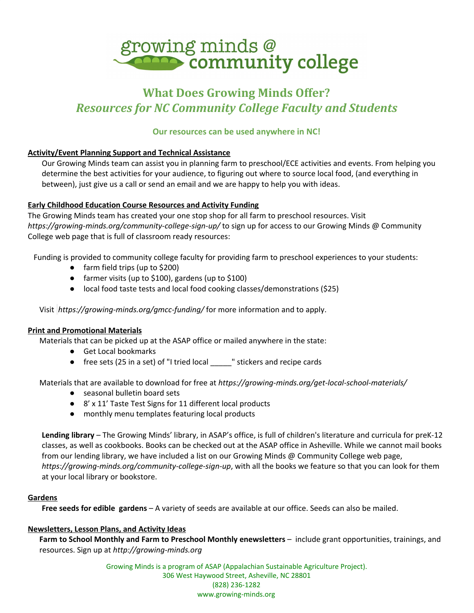

# **What Does Growing Minds Offer?** *Resources for NC Community College Faculty and Students*

# **Our resources can be used anywhere in NC!**

# **Activity/Event Planning Support and Technical Assistance**

Our Growing Minds team can assist you in planning farm to preschool/ECE activities and events. From helping you determine the best activities for your audience, to figuring out where to source local food, (and everything in between), just give us a call or send an email and we are happy to help you with ideas.

## **Early Childhood Education Course Resources and Activity Funding**

The Growing Minds team has created your one stop shop for all farm to preschool resources. Visit *<https://growing-minds.org/community-college-sign-up/>* to sign up for access to our Growing Minds @ Community College web page that is full of classroom ready resources:

Funding is provided to community college faculty for providing farm to preschool experiences to your students:

- farm field trips (up to \$200)
- farmer visits (up to \$100), gardens (up to \$100)
- local food taste tests and local food cooking classes/demonstrations (\$25)

Visit *<https://growing-minds.org/gmcc-funding/>* for more information and to apply.

#### **Print and Promotional Materials**

Materials that can be picked up at the ASAP office or mailed anywhere in the state:

- Get Local bookmarks
- free sets (25 in a set) of "I tried local \_\_\_\_\_" stickers and recipe cards

Materials that are available to download for free at *<https://growing-minds.org/get-local-school-materials/>*

- seasonal bulletin board sets
- 8' x 11' Taste Test Signs for 11 different local products
- monthly menu templates featuring local products

**Lending library** – The Growing Minds' library, in ASAP's office, is full of children's literature and curricula for preK-12 classes, as well as cookbooks. Books can be checked out at the ASAP office in Asheville. While we cannot mail books from our lending library, we have included a list on our Growing Minds @ Community College web page, *[https://growing-minds.org/community-college-sign-up](https://growing-minds.org/community-college-sign-up/)*, with all the books we feature so that you can look for them at your local library or bookstore.

#### **Gardens**

**Free seeds for edible gardens** – A variety of seeds are available at our office. Seeds can also be mailed.

#### **Newsletters, Lesson Plans, and Activity Ideas**

**Farm to School Monthly and Farm to Preschool Monthly enewsletters** – include grant opportunities, trainings, and resources. Sign up at *[http://growing-minds.org](http://growing-minds.org/)*

> Growing Minds is a program of ASAP (Appalachian Sustainable Agriculture Project). 306 West Haywood Street, Asheville, NC 28801 (828) 236-1282 www.growing-minds.org